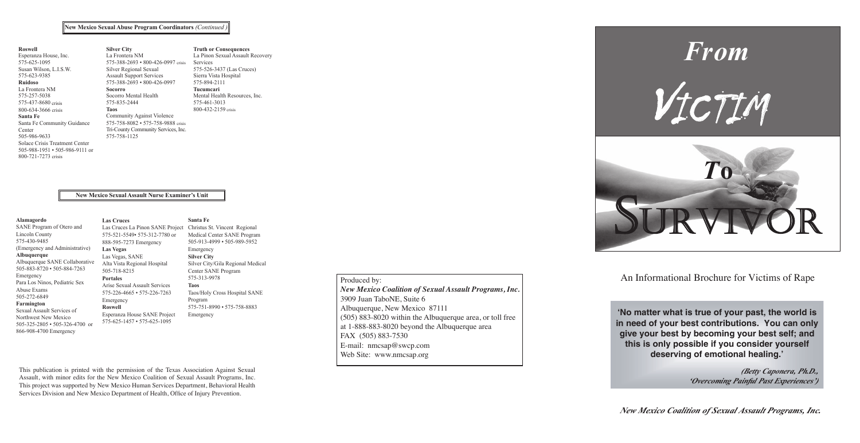

'No matter what is true of your past, the world is in need of your best contributions. You can only give your best by becoming your best self; and this is only possible if you consider yourself deserving of emotional healing.'

*New Mexico Coalition of Sexual Assault Programs, Inc.* 

An Informational Brochure for Victims of Rape

*New Mexico Coercoming Painful Past Experiences' (Betty Caponera, Ph.D.,* 

*fo noitilaoC ocixeM weN* This publication is printed with the permission of the Texas Association Against Sexual Assault, with minor edits for the New Mexico Coalition of Sexual Assault Programs, Inc. This project was supported by New Mexico Human Services Department, Behavioral Health Services Division and New Mexico Department of Health, Office of Injury Prevention.

# Produced by:

#### $\overline{\text{New Mexico}$  Sexual Abuse Program Coordinators *(Continued ) NAS( esruN E xE ) aminer Units*

#### **New Mexico Sexual Assault Nurse Examiner's Unit** *deP i lauxes cirta*

( 75 )5 3 -69 6 116 575( ) 996-093 9 sisirc

*OTS P I woN t H enilple*

*new Mexico Coalition of Sexual Assault Programs, Inc. New Mexico Coalition of Sexual Assault Programs, Inc.* 3909 Juan TaboNE, Suite 6 **P** *isos yuan Tabo NE*, Suite 6<br> *Albuquerque*, New Mexico 87111  $A = \begin{bmatrix} 66 \\ 0.6 \end{bmatrix}$   $A = \begin{bmatrix} 66 \\ 0.6 \end{bmatrix}$ (505) 883-8020 within the Albuquerque area, or toll free (505) 883-8020 within the Albuquerque area, or toll free *p i tnever t* at 1-888-883-8020 beyond the Albuquerque area FAX (505) 883-7530  $\left|$  E-mail: nmcsap@swcp.com *n* Web Site: www.nmcsap.org  $U(303)$  003-0020 whill the Albuquerque area, or ton free

| Alamagordo<br>SANE Program of Otero and<br><b>Lincoln County</b><br>575-430-9485<br>(Emergency and Administrative)<br>Albuquerque<br>Albuquerque SANE Collaborative<br>505-883-8720 • 505-884-7263<br>Emergency<br>Para Los Ninos, Pediatric Sex<br>Abuse Exams<br>505-272-6849<br>Farmington<br>Sexual Assault Services of<br>Northwest New Mexico<br>505-325-2805 • 505-326-4700 or | <b>Las Cruces</b><br>Las Cruces La Pinon SANE Project<br>575-521-5549• 575-312-7780 or<br>888-595-7273 Emergency<br><b>Las Vegas</b><br>Las Vegas, SANE<br>Alta Vista Regional Hospital<br>505-718-8215 | Santa Fe<br>Christus St. Vincent Regional<br>Medical Center SANE Program<br>505-913-4999 • 505-989-5952<br>Emergency<br><b>Silver City</b><br>Silver City/Gila Regional Medical<br>Center SANE Program |
|---------------------------------------------------------------------------------------------------------------------------------------------------------------------------------------------------------------------------------------------------------------------------------------------------------------------------------------------------------------------------------------|---------------------------------------------------------------------------------------------------------------------------------------------------------------------------------------------------------|--------------------------------------------------------------------------------------------------------------------------------------------------------------------------------------------------------|
|                                                                                                                                                                                                                                                                                                                                                                                       | <b>Portales</b><br>Arise Sexual Assault Services<br>$575 - 226 - 4665 \cdot 575 - 226 - 7263$<br>Emergency<br><b>Roswell</b><br>Esperanza House SANE Project<br>575-625-1457 • 575-625-1095             | 575-313-9978<br><b>Taos</b><br>Taos/Holy Cross Hospital SANE<br>Program<br>575-751-8990 • 575-758-8883<br>Emergency                                                                                    |

| <b>Roswell</b>                       | <b>Silver City</b>                        | <b>Truth or Consequences</b>     |
|--------------------------------------|-------------------------------------------|----------------------------------|
| Esperanza House, Inc.                | La Frontera NM                            | La Pinon Sexual Assault Recovery |
| 575-625-1095                         | 575-388-2693 • 800-426-0997 crisis        | Services                         |
| Susan Wilson, L.I.S.W.               | Silver Regional Sexual                    | 575-526-3437 (Las Cruces)        |
| 575-623-9385                         | <b>Assault Support Services</b>           | Sierra Vista Hospital            |
| <b>Ruidoso</b>                       | $575 - 388 - 2693 \cdot 800 - 426 - 0997$ | 575-894-2111                     |
| La Frontera NM                       | <b>Socorro</b>                            | Tucumcari                        |
| 575-257-5038                         | Socorro Mental Health                     | Mental Health Resources, Inc.    |
| 575-437-8680 crisis                  | 575-835-2444                              | 575-461-3013                     |
| 800-634-3666 crisis                  | <b>Taos</b>                               | 800-432-2159 crisis              |
| Santa Fe                             | Community Against Violence                |                                  |
| Santa Fe Community Guidance          | 575-758-8082 • 575-758-9888 crisis        |                                  |
| Center                               | Tri-County Community Services, Inc.       |                                  |
| 505-986-9633                         | 575-758-1125                              |                                  |
| Solace Crisis Treatment Center       |                                           |                                  |
| $505.088.1051 \cdot 505.086.0111$ or |                                           |                                  |

866-908-4700 Emergency

505-988-1951 • 505-986-9111 or

800-721-7273 crisis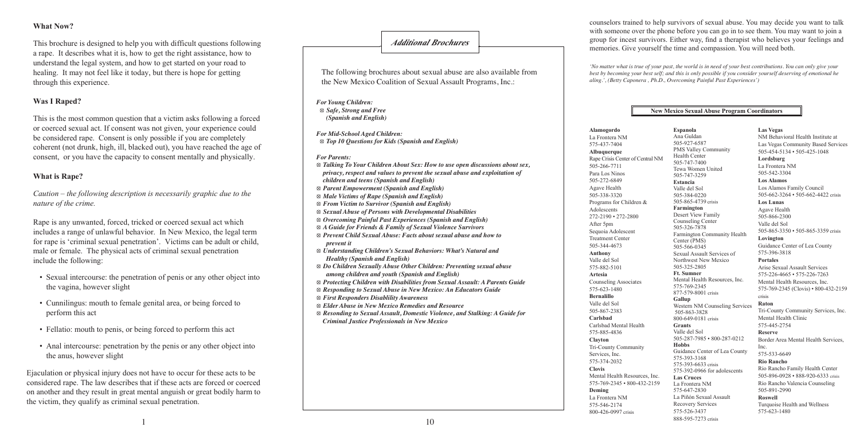*For Mid-School Aged Children: r or mua-schoot Agea Cnuaren:*<br>  $\otimes$  *Top 10 Questions for Kids (Spanish and English) oup to Questions for Kius (Sp.* 

**For Parents:** 

*'No matter what is true of your past, the world is in need of your best contributions. You can only give your* best by becoming your best self; and this is only possible if you consider yourself deserving of emotional he (575) 472-4567 *aling.', (Betty Caponera , Ph.D., Overcoming Painful Past Experiences') morld is in need of your best*<br>*is only possible if you consi*<br>mine Bainful Bast Experience

- Sexual intercourse: the penetration of penis or any other object into the vagina, however slight tion of penis her object ii
- Cunnilingus: mouth to female genital area, or being forced to perform this act
- Fellatio: mouth to penis, or being forced to perform this act ng forced to perfc St. Vincent SANE  $\sin 8$  act
- Anal intercourse: penetration by the penis or any other object into the anus, however slight vy the penis o

Ejaculation or physical injury does not have to occur for these acts to be considered rape. The law describes that if these acts are forced or coerced *esistance happing in a w* assertess that it mess are verted of correct on another and they result in great mental anguish or great bodily harm to the victim, they qualify as criminal sexual penetration. ush or great bodily narm

## **What Now?**

This brochure is designed to help you with difficult questions following a rape. It describes what it is, how to get the right assistance, how to *a die a legal system, and how to get started on your road to* healing. It may not feel like it today, but there is hope for getting through this experience. *n*<sub>1</sub> and *E and T E and T E x*<sub>E</sub> *and T and T and T and T and T and T and T and T and T and T and T and T and T and T and T and T and T and T and T and T and T and T*

#### **Was I Raped?**

This is the most common question that a victim asks following a forced or coerced sexual act. If consent was not given, your experience could be considered rape. Consent is only possible if you are completely coherent (not drunk, high, ill, blacked out), you have reached the age of consent, or you have the capacity to consent mentally and physically. The following brochures about sexual abuse are also available from the New Mexico Coalition of Sexual Assault Programs, Inc.: memories. Give yourself the time and compassion. You will need both.

*For Young Children:*  $\otimes$  *Safe, Strong and Free new Mexico Rape Community Centers and English* 

#### **What is Rape?**

Caution – the following description is necessarily graphic due to the *nature of the crime.* uqublA e aFeuqr m yli  $c$  due to the

Rape is any unwanted, forced, tricked or coerced sexual act which includes a range of unlawful behavior. In New Mexico, the legal term for rape is 'criminal sexual penetration'. Victims can be adult or child, male or female. The physical acts of criminal sexual penetration include the following:  $\alpha$  *d c deted sexual act* will

counselors trained to help survivors of sexual abuse. You may decide you want to talk with someone over the phone before you can go in to see them. You may want to join a group for incest survivors. Either way, find a therapist who believes your feelings and memories. Give yourself the time and compassion. You will need both.

health centers with counselors trained to help survivors of sexual abuse.

#### $\frac{1}{\sqrt{2\pi}}$ Mental Health **New Mexico Sexual Abuse Program Coordinators**

Española<br>Ana Guldan 505-927-6587 505-747-7400<br>Tewa Women United rewa women<br>505-747-3259 505-384-0220 505-865-4739 crisis **Farmington** Counseling Center SU3-320-7676<br>Farmington Community Health Center (PMS) Sexual Assault Services of Northwest New Mexico **Ft. Sumner** Mental Health Resources, Inc.  $877-579-8001$  crisis  $877-579-8001$  crisis crisis Gallup **Tucumcari** 505-863-3828 800-649-0181 crisis Grants<br>Valle del Sol **Espanola** PMS Valley Community Health Center 505-747-7400 **Estancia** Valle del Sol Desert View Family 505-326-7878 505-566-0345 505-325-2805 575-769-2345 Western NM Counseling Services **Grants** 505-287-7985 • 800-287-0212 Border Area Mental Health **Hobbs** ommunity<br> **Guidance Center of Lea County**  $\begin{array}{r} \text{Inc.} \\ 575,533,6640 \end{array}$ 575-393-3168<br>575-393-3168<br>**Rio Rancho** 575-393-6633 crisis 575-392-0966 for adolescents<br>
For good and the formulation for good and the formulation for good and the formulation for good and the formulation for good and the formulation for the formulation for the formulation for the **Las Cruces** La Frontera NM 575-647-2830 La Piñón Sexual Assault **Roswell** Recovery Services 575-526-3437 888-595-7273 crisis **P**<sub>o</sub><sup>o</sup> survive Company of the Magnetics of Strategy<br>
Survive Company Counseling Center<br>
Survive Counseling Center<br>
Survive Counseling Center<br>
Survive Community Health<br>
Survive Center<br>
Center (PMS)<br>
Survive Center of Lea Constant **formular simulated by the entity of the entity of the simulate simulate of the S**/5-445-2754<br>as the simulated Solution of the Because **New Mexico Sexual Abuse Program Coordinate**<br> **Espanola** Las V<br>
Ana Guldan NM B

 $\otimes$  Talking To Your Children About Sex: How to use open discussions about sex, *privacy, respect and values to prevent the sexual abuse and exploitation of children and teens (Spanish and English)*  $\otimes$  Parent Empowerment (Spanish and English)  $\otimes$  *Male Victims of Rape (Spanish and English)*  $\otimes$  From Victim to Survivor (Spanish and English) **Solution Section 2** Section 2 and 3 Section 2 and 3 Section 2 and 3 Section 2 and 3 Section 2 and 3 Section 2 and 3 Section 2 and 3 Section 2 and 3 Section 2 and 3 Section 2 and 3 Section 2 and 3 Section 2 and 3 Section 2  $\otimes$  Sexual Abuse of Fersons with Developmental Disabilities<br> $\otimes$  Overcoming Painful Past Experiences (Spanish and English) ⦻ *A Guide for Friends & Family of Sexual Violence Survivors* Adolescents  $\otimes$  *A* Guide for Prientis  $\otimes$  Pamily of Sexual Violence Survivors<br> $\otimes$  Prevent Child Sexual Abuse: Facts about sexual abuse and how to *<u><i>prevent it*</del></u> *g* Understanding Children's Sexual Behaviors: What's Natural and *Healthy (Spanish and English)*  $\otimes$  Do Children Sexually Abuse Other Children: Preventing sexual abuse *among children and youth (Spanish and English)* (505) 326-7878 *xeS bA lau u o es neS f i sro*  $\otimes$  Protecting Children with Disabilities from Sexual Assault: A Parents Guide **& Responding to Sexual Abuse in New Mexico: An Educators Guide**  $\otimes$  *First Responders Disablility Awareness*  $\otimes$  *F i s i nesponders Disdomity Awdreness*<br> $\otimes$  *Elder Abuse in New Mexico Remedies and Resource* ⊗ Resonding to Sexual Assault, Domestic Violence, and Stalking: A Guide for Criminal Justice Professionals in New Mexico  $\otimes$  A Guide for 1 Farmington Community **Las Cruces**  $\mathbf{S}$  $\mathbf{B}$ Los Alamos Family Council Lea County *e iolpx t noita of c rdlih e n an t d ee sn*

#### $\overline{A}$ provide general sessions free of charge. *itiddA ano eruhcorB l <sup>s</sup>*

#### **Reserve Alamogordo** La Frontera NM 575-437-7404 (575) 533-6649 **Albuquerque Rio Rancho** 505-266-7711 Para Los Ninos 505-272-6849 Agave Health Programs for Children &  $\overline{A}$ dolescents 272-2190 • 272-2800 Sequoia Adolescent Treatment Center **Ruidoso** Valle del Sol vane der 501 (575) 257-5038 **Artesia** Counseling Associates **Santa Fe Bernalillo** Valle del Sol 505-867-2383 (505) 988-1951 **Carlsbad** Rape Crisis Center of Central NM Tri-County Community<br>Services. Inc. 505-338-3320 Adolescents After 5pm 505-344-4673 **Anthony** 575-623-1480 Carlsbad Mental Health 575-885-4836 **Clayton** Services, Inc. 575-374-2032 **Clovis** Mental Health Resources, Inc. 575-769-2345 • 800-432-2159 **Deming** La Frontera NM 575-546-2174 800-426-0997 crisis

#### **Las Vegas**

NM Behavioral Health Institute at Las Vegas Community Based Services 505-454-5134 • 505-425-1048 **Lordsburg** La Frontera NM 505-542-3304 **Los Alamos** Los Alamos Family Council 505-662-3264 • 505-662-4422 crisis **Los Lunas** Agave Health 505-866-2300 Valle del Sol 505-865-3350 • 505-865-3359 crisis **Lovington** Guidance Center of Lea County 575-396-3818 **Portales** Arise Sexual Assault Services 575-226-4665 • 575-226-7263 Mental Health Resources, Inc. 575-769-2345 (Clovis) • 800-432-2159 crisis **Raton** Tri-County Community Services, Inc. Mental Health Clinic 575-445-2754 **Reserve** Border Area Mental Health Services, Inc. 575-533-6649 **Rio Rancho** Rio Rancho Family Health Center 505-896-0928 • 888-920-6333 crisis Rio Rancho Valencia Counseling<br>505,801,2000 505-891-2990 **Roswell** Turquoise Health and Wellness 575-623-1480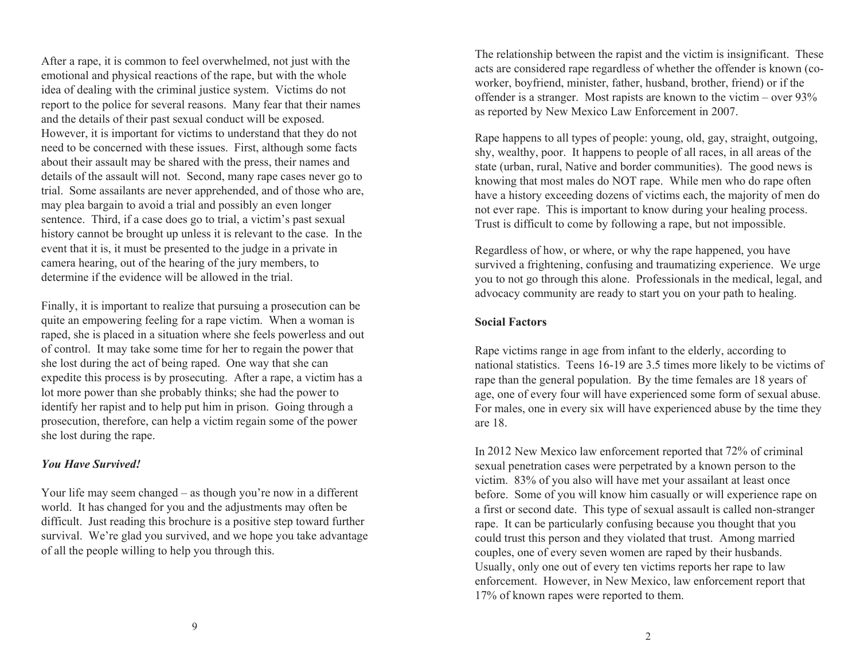After a rape, it is common to feel overwhelmed, not just with the emotional and physical reactions of the rape, but with the whole idea of dealing with the criminal justice system. Victims do not report to the police for several reasons. Many fear that their names and the details of their past sexual conduct will be exposed. However, it is important for victims to understand that they do not need to be concerned with these issues. First, although some facts about their assault may be shared with the press, their names and details of the assault will not. Second, many rape cases never go to trial. Some assailants are never apprehended, and of those who are, may plea bargain to avoid a trial and possibly an even longer sentence. Third, if a case does go to trial, a victim's past sexual history cannot be brought up unless it is relevant to the case. In the event that it is, it must be presented to the judge in a private in camera hearing, out of the hearing of the jury members, to determine if the evidence will be allowed in the trial.

Finally, it is important to realize that pursuing a prosecution can be quite an empowering feeling for a rape victim. When a woman is raped, she is placed in a situation where she feels powerless and out of control. It may take some time for her to regain the power that she lost during the act of being raped. One way that she can expedite this process is by prosecuting. After a rape, a victim has a lot more power than she probably thinks; she had the power to identify her rapist and to help put him in prison. Going through a prosecution, therefore, can help a victim regain some of the power she lost during the rape.

#### *You Have Survived!*

Your life may seem changed – as though you're now in a different world. It has changed for you and the adjustments may often be difficult. Just reading this brochure is a positive step toward further survival. We're glad you survived, and we hope you take advantage of all the people willing to help you through this.

The relationship between the rapist and the victim is insignificant. These acts are considered rape regardless of whether the offender is known (coworker, boyfriend, minister, father, husband, brother, friend) or if the offender is a stranger. Most rapists are known to the victim – over 93% as reported by New Mexico Law Enforcement in 2007.

Rape happens to all types of people: young, old, gay, straight, outgoing, shy, wealthy, poor. It happens to people of all races, in all areas of the state (urban, rural, Native and border communities). The good news is knowing that most males do NOT rape. While men who do rape often have a history exceeding dozens of victims each, the majority of men do not ever rape. This is important to know during your healing process. Trust is difficult to come by following a rape, but not impossible.

Regardless of how, or where, or why the rape happened, you have survived a frightening, confusing and traumatizing experience. We urge you to not go through this alone. Professionals in the medical, legal, and advocacy community are ready to start you on your path to healing.

#### **Social Factors**

Rape victims range in age from infant to the elderly, according to national statistics. Teens 16-19 are 3.5 times more likely to be victims of rape than the general population. By the time females are 18 years of age, one of every four will have experienced some form of sexual abuse. For males, one in every six will have experienced abuse by the time they are 18.

In 2012 New Mexico law enforcement reported that 72% of criminal sexual penetration cases were perpetrated by a known person to the victim. 83% of you also will have met your assailant at least once before. Some of you will know him casually or will experience rape on a first or second date. This type of sexual assault is called non-stranger rape. It can be particularly confusing because you thought that you could trust this person and they violated that trust. Among married couples, one of every seven women are raped by their husbands. Usually, only one out of every ten victims reports her rape to law enforcement. However, in New Mexico, law enforcement report that 17% of known rapes were reported to them.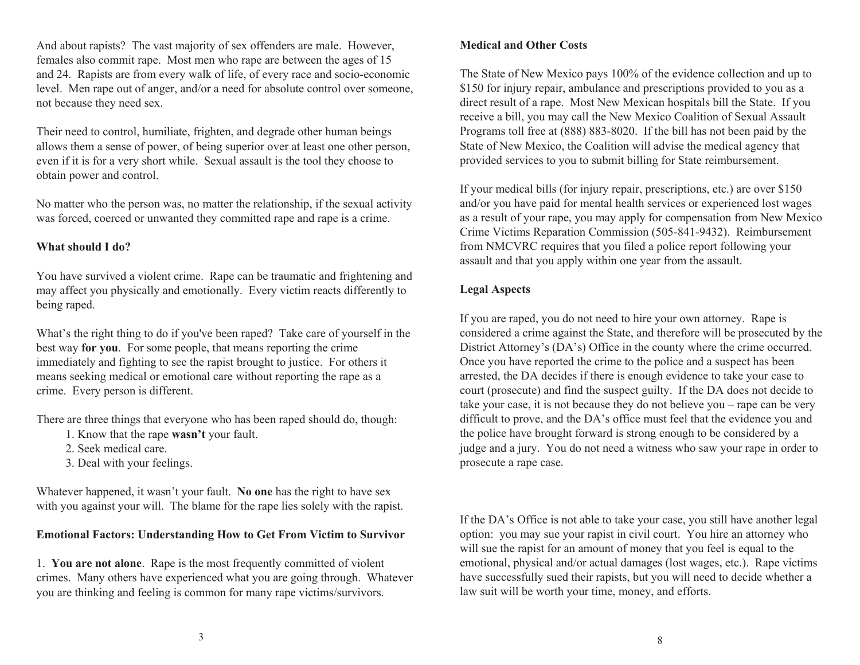And about rapists? The vast majority of sex offenders are male. However, females also commit rape. Most men who rape are between the ages of 15 and 24. Rapists are from every walk of life, of every race and socio-economic level. Men rape out of anger, and/or a need for absolute control over someone, not because they need sex.

Their need to control, humiliate, frighten, and degrade other human beings allows them a sense of power, of being superior over at least one other person, even if it is for a very short while. Sexual assault is the tool they choose to obtain power and control.

No matter who the person was, no matter the relationship, if the sexual activity was forced, coerced or unwanted they committed rape and rape is a crime.

#### **What should I do?**

You have survived a violent crime. Rape can be traumatic and frightening and may affect you physically and emotionally. Every victim reacts differently to being raped.

What's the right thing to do if you've been raped? Take care of yourself in the best way **for you**. For some people, that means reporting the crime immediately and fighting to see the rapist brought to justice. For others it means seeking medical or emotional care without reporting the rape as a crime. Every person is different.

There are three things that everyone who has been raped should do, though:

- 1. Know that the rape **wasn't** your fault.
- 2. Seek medical care.
- 3. Deal with your feelings.

Whatever happened, it wasn't your fault. **No one** has the right to have sex with you against your will. The blame for the rape lies solely with the rapist.

## **Emotional Factors: Understanding How to Get From Victim to Survivor**

1. **You are not alone**. Rape is the most frequently committed of violent crimes. Many others have experienced what you are going through. Whatever you are thinking and feeling is common for many rape victims/survivors.

## **Medical and Other Costs**

The State of New Mexico pays 100% of the evidence collection and up to \$150 for injury repair, ambulance and prescriptions provided to you as a direct result of a rape. Most New Mexican hospitals bill the State. If you receive a bill, you may call the New Mexico Coalition of Sexual Assault Programs toll free at (888) 883-8020. If the bill has not been paid by the State of New Mexico, the Coalition will advise the medical agency that provided services to you to submit billing for State reimbursement.

If your medical bills (for injury repair, prescriptions, etc.) are over \$150 and/or you have paid for mental health services or experienced lost wages as a result of your rape, you may apply for compensation from New Mexico Crime Victims Reparation Commission (505-841-9432). Reimbursement from NMCVRC requires that you filed a police report following your assault and that you apply within one year from the assault.

## **Legal Aspects**

If you are raped, you do not need to hire your own attorney. Rape is considered a crime against the State, and therefore will be prosecuted by the District Attorney's (DA's) Office in the county where the crime occurred. Once you have reported the crime to the police and a suspect has been arrested, the DA decides if there is enough evidence to take your case to court (prosecute) and find the suspect guilty. If the DA does not decide to take your case, it is not because they do not believe you – rape can be very difficult to prove, and the DA's office must feel that the evidence you and the police have brought forward is strong enough to be considered by a judge and a jury. You do not need a witness who saw your rape in order to prosecute a rape case.

If the DA's Office is not able to take your case, you still have another legal option: you may sue your rapist in civil court. You hire an attorney who will sue the rapist for an amount of money that you feel is equal to the emotional, physical and/or actual damages (lost wages, etc.). Rape victims have successfully sued their rapists, but you will need to decide whether a law suit will be worth your time, money, and efforts.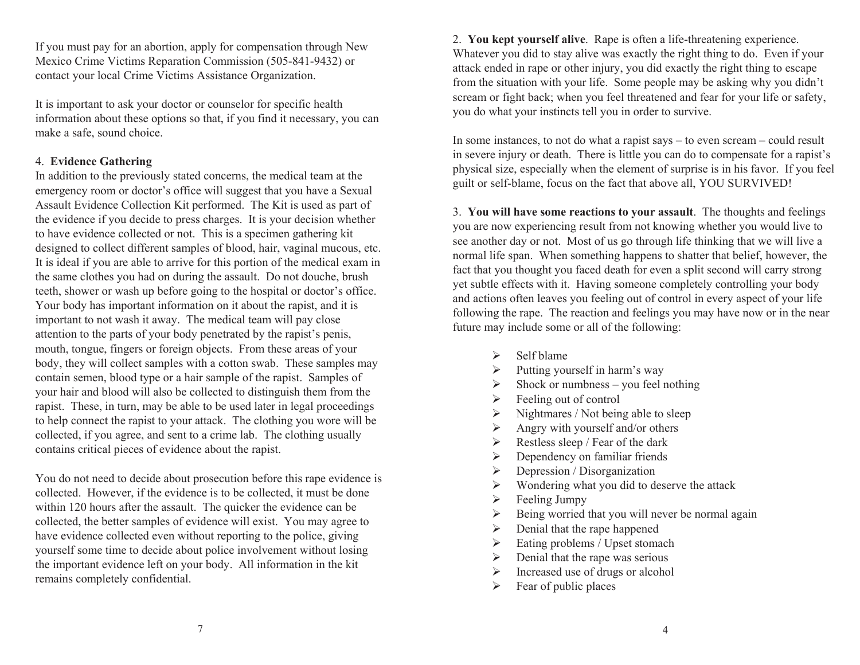If you must pay for an abortion, apply for compensation through New Mexico Crime Victims Reparation Commission (505-841-9432) or contact your local Crime Victims Assistance Organization.

It is important to ask your doctor or counselor for specific health information about these options so that, if you find it necessary, you can make a safe, sound choice.

#### 4. **Evidence Gathering**

In addition to the previously stated concerns, the medical team at the emergency room or doctor's office will suggest that you have a Sexual Assault Evidence Collection Kit performed. The Kit is used as part of the evidence if you decide to press charges. It is your decision whether to have evidence collected or not. This is a specimen gathering kit designed to collect different samples of blood, hair, vaginal mucous, etc. It is ideal if you are able to arrive for this portion of the medical exam in the same clothes you had on during the assault. Do not douche, brush teeth, shower or wash up before going to the hospital or doctor's office. Your body has important information on it about the rapist, and it is important to not wash it away. The medical team will pay close attention to the parts of your body penetrated by the rapist's penis, mouth, tongue, fingers or foreign objects. From these areas of your body, they will collect samples with a cotton swab. These samples may contain semen, blood type or a hair sample of the rapist. Samples of your hair and blood will also be collected to distinguish them from the rapist. These, in turn, may be able to be used later in legal proceedings to help connect the rapist to your attack. The clothing you wore will be collected, if you agree, and sent to a crime lab. The clothing usually contains critical pieces of evidence about the rapist.

You do not need to decide about prosecution before this rape evidence is collected. However, if the evidence is to be collected, it must be done within 120 hours after the assault. The quicker the evidence can be collected, the better samples of evidence will exist. You may agree to have evidence collected even without reporting to the police, giving yourself some time to decide about police involvement without losing the important evidence left on your body. All information in the kit remains completely confidential.

2. **You kept yourself alive**. Rape is often a life-threatening experience. Whatever you did to stay alive was exactly the right thing to do. Even if your attack ended in rape or other injury, you did exactly the right thing to escape from the situation with your life. Some people may be asking why you didn't scream or fight back; when you feel threatened and fear for your life or safety, you do what your instincts tell you in order to survive.

In some instances, to not do what a rapist says – to even scream – could result in severe injury or death. There is little you can do to compensate for a rapist's physical size, especially when the element of surprise is in his favor. If you feel guilt or self-blame, focus on the fact that above all, YOU SURVIVED!

3. **You will have some reactions to your assault**. The thoughts and feelings you are now experiencing result from not knowing whether you would live to see another day or not. Most of us go through life thinking that we will live a normal life span. When something happens to shatter that belief, however, the fact that you thought you faced death for even a split second will carry strong yet subtle effects with it. Having someone completely controlling your body and actions often leaves you feeling out of control in every aspect of your life following the rape. The reaction and feelings you may have now or in the near future may include some or all of the following:

- $\triangleright$  Self blame
- $\triangleright$  Putting yourself in harm's way
- $\triangleright$  Shock or numbness you feel nothing
- $\triangleright$  Feeling out of control
- $\triangleright$  Nightmares / Not being able to sleep
- $\triangleright$  Angry with yourself and/or others
- $\triangleright$  Restless sleep / Fear of the dark
- $\triangleright$  Dependency on familiar friends
- $\triangleright$  Depression / Disorganization
- $\triangleright$  Wondering what you did to deserve the attack
- $\triangleright$  Feeling Jumpy
- $\triangleright$  Being worried that you will never be normal again
- $\triangleright$  Denial that the rape happened
- $\triangleright$  Eating problems / Upset stomach
- $\triangleright$  Denial that the rape was serious
- $\triangleright$  Increased use of drugs or alcohol
- $\triangleright$  Fear of public places